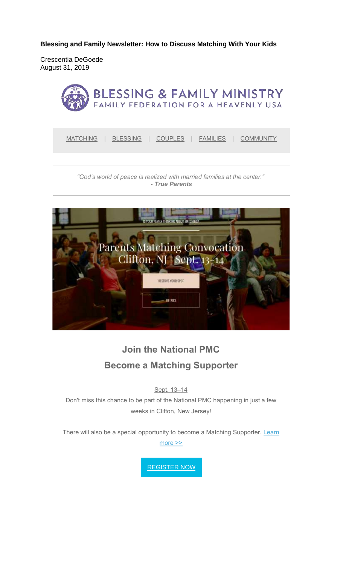**Blessing and Family Newsletter: How to Discuss Matching With Your Kids** 

Crescentia DeGoede August 31, 2019



*"God's world of peace is realized with married families at the center." - True Parents*



# **Join the National PMC Become a Matching Supporter**

Sept. 13–14

Don't miss this chance to be part of the National PMC happening in just a few weeks in Clifton, New Jersey!

There will also be a special opportunity to become a Matching Supporter. Learn more >>

REGISTER NOW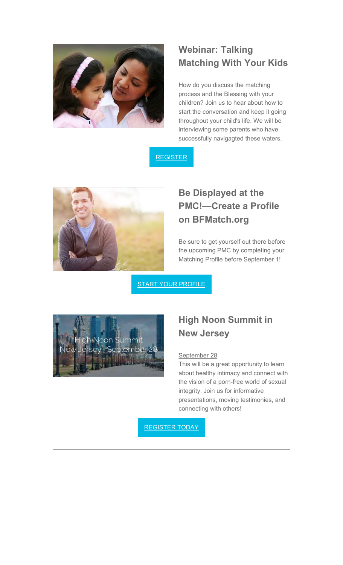

## **Webinar: Talking Matching With Your Kids**

How do you discuss the matching process and the Blessing with your children? Join us to hear about how to start the conversation and keep it going throughout your child's life. We will be interviewing some parents who have successfully navigagted these waters.





# **Be Displayed at the PMC!—Create a Profile on BFMatch.org**

Be sure to get yourself out there before the upcoming PMC by completing your Matching Profile before September 1!

START YOUR PROFILE



#### **High Noon Summit in New Jersey**

#### September 28

This will be a great opportunity to learn about healthy intimacy and connect with the vision of a porn-free world of sexual integrity. Join us for informative presentations, moving testimonies, and connecting with others!

REGISTER TODAY